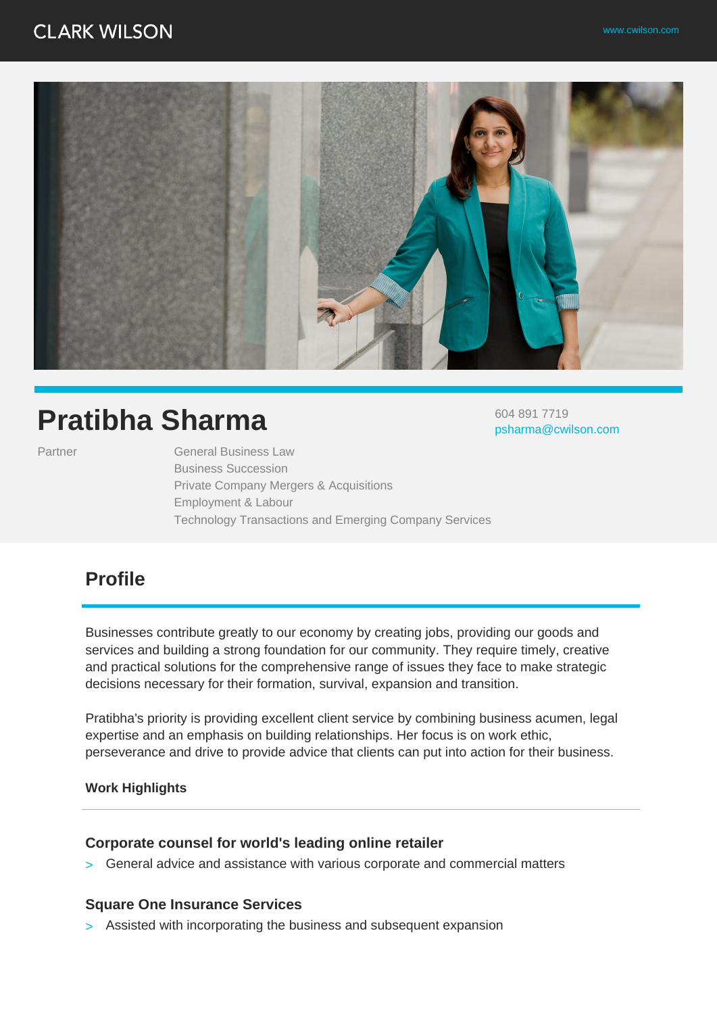604 891 7719

psharma@cwilson.com



# **Pratibha Sharma**

Partner General Business Law Business Succession Private Company Mergers & Acquisitions Employment & Labour Technology Transactions and Emerging Company Services

# **Profile**

Businesses contribute greatly to our economy by creating jobs, providing our goods and services and building a strong foundation for our community. They require timely, creative and practical solutions for the comprehensive range of issues they face to make strategic decisions necessary for their formation, survival, expansion and transition.

Pratibha's priority is providing excellent client service by combining business acumen, legal expertise and an emphasis on building relationships. Her focus is on work ethic, perseverance and drive to provide advice that clients can put into action for their business.

#### **Work Highlights**

### **Corporate counsel for world's leading online retailer**

> General advice and assistance with various corporate and commercial matters

### **Square One Insurance Services**

> Assisted with incorporating the business and subsequent expansion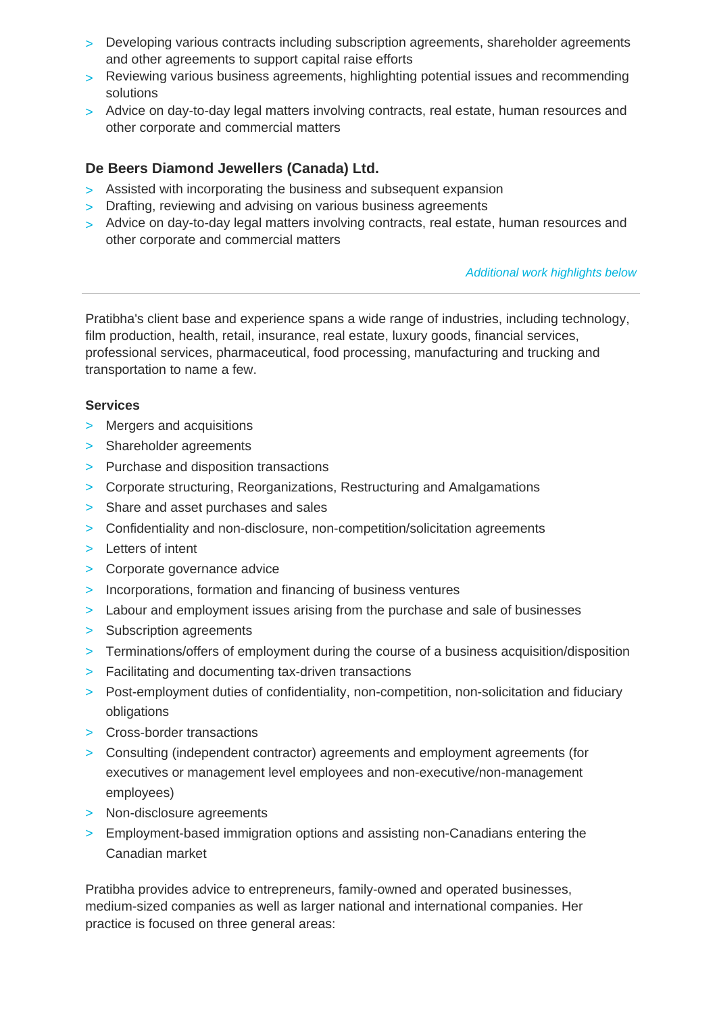- > Developing various contracts including subscription agreements, shareholder agreements and other agreements to support capital raise efforts
- > Reviewing various business agreements, highlighting potential issues and recommending solutions
- > Advice on day-to-day legal matters involving contracts, real estate, human resources and other corporate and commercial matters

### **De Beers Diamond Jewellers (Canada) Ltd.**

- > Assisted with incorporating the business and subsequent expansion
- > Drafting, reviewing and advising on various business agreements
- > Advice on day-to-day legal matters involving contracts, real estate, human resources and other corporate and commercial matters

### Additional work highlights below

Pratibha's client base and experience spans a wide range of industries, including technology, film production, health, retail, insurance, real estate, luxury goods, financial services, professional services, pharmaceutical, food processing, manufacturing and trucking and transportation to name a few.

### **Services**

- > Mergers and acquisitions
- > Shareholder agreements
- > Purchase and disposition transactions
- > Corporate structuring, Reorganizations, Restructuring and Amalgamations
- > Share and asset purchases and sales
- > Confidentiality and non-disclosure, non-competition/solicitation agreements
- > Letters of intent
- > Corporate governance advice
- > Incorporations, formation and financing of business ventures
- > Labour and employment issues arising from the purchase and sale of businesses
- > Subscription agreements
- > Terminations/offers of employment during the course of a business acquisition/disposition
- > Facilitating and documenting tax-driven transactions
- > Post-employment duties of confidentiality, non-competition, non-solicitation and fiduciary obligations
- > Cross-border transactions
- > Consulting (independent contractor) agreements and employment agreements (for executives or management level employees and non-executive/non-management employees)
- > Non-disclosure agreements
- > Employment-based immigration options and assisting non-Canadians entering the Canadian market

Pratibha provides advice to entrepreneurs, family-owned and operated businesses, medium-sized companies as well as larger national and international companies. Her practice is focused on three general areas: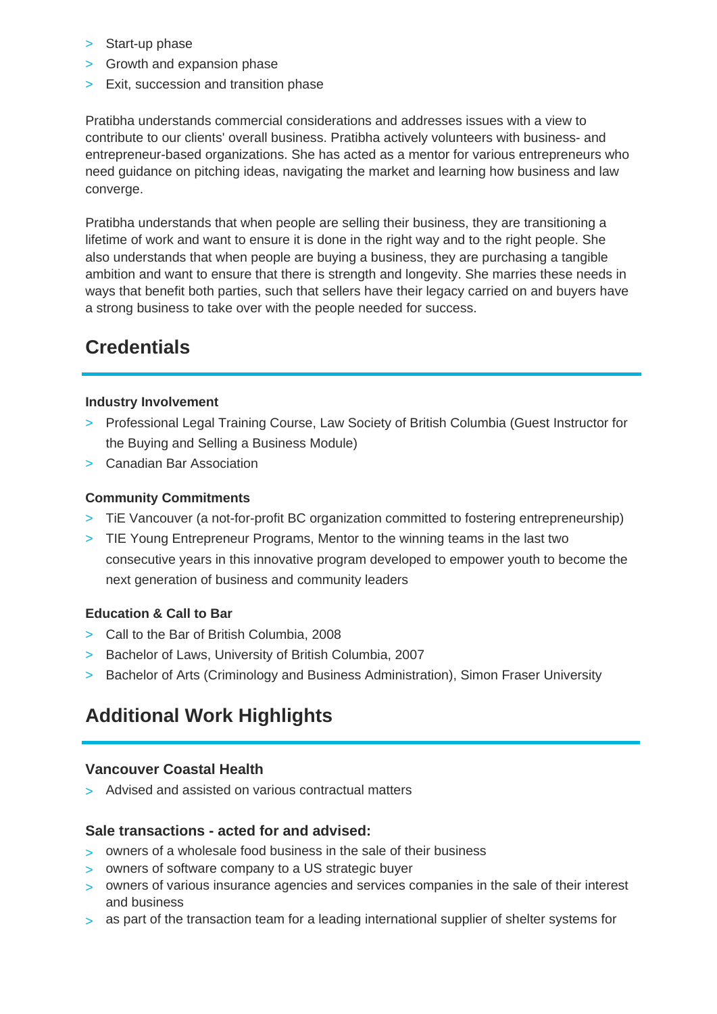- > Start-up phase
- > Growth and expansion phase
- > Exit, succession and transition phase

Pratibha understands commercial considerations and addresses issues with a view to contribute to our clients' overall business. Pratibha actively volunteers with business- and entrepreneur-based organizations. She has acted as a mentor for various entrepreneurs who need guidance on pitching ideas, navigating the market and learning how business and law converge.

Pratibha understands that when people are selling their business, they are transitioning a lifetime of work and want to ensure it is done in the right way and to the right people. She also understands that when people are buying a business, they are purchasing a tangible ambition and want to ensure that there is strength and longevity. She marries these needs in ways that benefit both parties, such that sellers have their legacy carried on and buyers have a strong business to take over with the people needed for success.

# **Credentials**

### **Industry Involvement**

- > Professional Legal Training Course, Law Society of British Columbia (Guest Instructor for the Buying and Selling a Business Module)
- > Canadian Bar Association

### **Community Commitments**

- > TiE Vancouver (a not-for-profit BC organization committed to fostering entrepreneurship)
- > TIE Young Entrepreneur Programs, Mentor to the winning teams in the last two consecutive years in this innovative program developed to empower youth to become the next generation of business and community leaders

### **Education & Call to Bar**

- > Call to the Bar of British Columbia, 2008
- > Bachelor of Laws, University of British Columbia, 2007
- > Bachelor of Arts (Criminology and Business Administration), Simon Fraser University

### **Additional Work Highlights**

### **Vancouver Coastal Health**

> Advised and assisted on various contractual matters

### **Sale transactions - acted for and advised:**

- > owners of a wholesale food business in the sale of their business
- > owners of software company to a US strategic buyer
- > owners of various insurance agencies and services companies in the sale of their interest and business
- > as part of the transaction team for a leading international supplier of shelter systems for